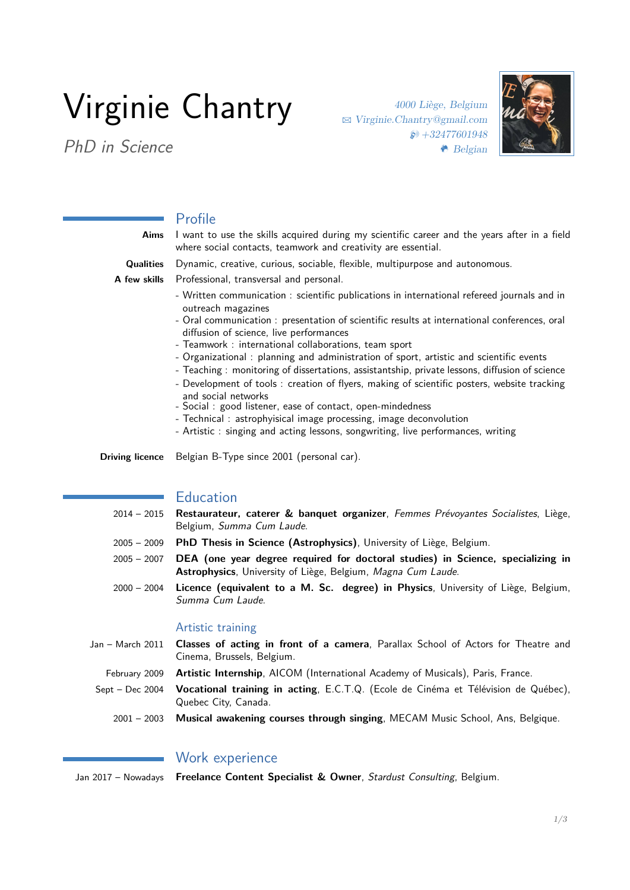# Virginie Chantry

PhD in Science

4000 Liège, Belgium B [Virginie.Chantry@gmail.com](mailto:Virginie.Chantry\char 64\relax gmail.com)  $\otimes +32477601948$ m Belgian



# Profile

| I want to use the skills acquired during my scientific career and the years after in a field<br>where social contacts, teamwork and creativity are essential.                                                                                                                                                                                                                                                                                                                                                                                                                                                                                                                                                                                                                                                                                               |
|-------------------------------------------------------------------------------------------------------------------------------------------------------------------------------------------------------------------------------------------------------------------------------------------------------------------------------------------------------------------------------------------------------------------------------------------------------------------------------------------------------------------------------------------------------------------------------------------------------------------------------------------------------------------------------------------------------------------------------------------------------------------------------------------------------------------------------------------------------------|
| Dynamic, creative, curious, sociable, flexible, multipurpose and autonomous.                                                                                                                                                                                                                                                                                                                                                                                                                                                                                                                                                                                                                                                                                                                                                                                |
| Professional, transversal and personal.<br>A few skills                                                                                                                                                                                                                                                                                                                                                                                                                                                                                                                                                                                                                                                                                                                                                                                                     |
| - Written communication : scientific publications in international refereed journals and in<br>outreach magazines<br>- Oral communication : presentation of scientific results at international conferences, oral<br>diffusion of science, live performances<br>- Teamwork: international collaborations, team sport<br>- Organizational : planning and administration of sport, artistic and scientific events<br>- Teaching: monitoring of dissertations, assistantship, private lessons, diffusion of science<br>- Development of tools : creation of flyers, making of scientific posters, website tracking<br>and social networks<br>- Social: good listener, ease of contact, open-mindedness<br>- Technical: astrophyisical image processing, image deconvolution<br>- Artistic: singing and acting lessons, songwriting, live performances, writing |
| Belgian B-Type since 2001 (personal car).<br>Driving licence                                                                                                                                                                                                                                                                                                                                                                                                                                                                                                                                                                                                                                                                                                                                                                                                |
|                                                                                                                                                                                                                                                                                                                                                                                                                                                                                                                                                                                                                                                                                                                                                                                                                                                             |

## **Education**

- 2014 2015 **Restaurateur, caterer & banquet organizer**, Femmes Prévoyantes Socialistes, Liège, Belgium, Summa Cum Laude.
- 2005 2009 **PhD Thesis in Science (Astrophysics)**, University of Liège, Belgium.
- 2005 2007 **DEA (one year degree required for doctoral studies) in Science, specializing in Astrophysics**, University of Liège, Belgium, Magna Cum Laude.
- 2000 2004 **Licence (equivalent to a M. Sc. degree) in Physics**, University of Liège, Belgium, Summa Cum Laude.

#### Artistic training

- Jan March 2011 **Classes of acting in front of a camera**, Parallax School of Actors for Theatre and Cinema, Brussels, Belgium.
	- February 2009 **Artistic Internship**, AICOM (International Academy of Musicals), Paris, France.
- Sept Dec 2004 **Vocational training in acting**, E.C.T.Q. (Ecole de Cinéma et Télévision de Québec), Quebec City, Canada.
	- 2001 2003 **Musical awakening courses through singing**, MECAM Music School, Ans, Belgique.

## Work experience

Jan 2017 – Nowadays **Freelance Content Specialist & Owner**, Stardust Consulting, Belgium.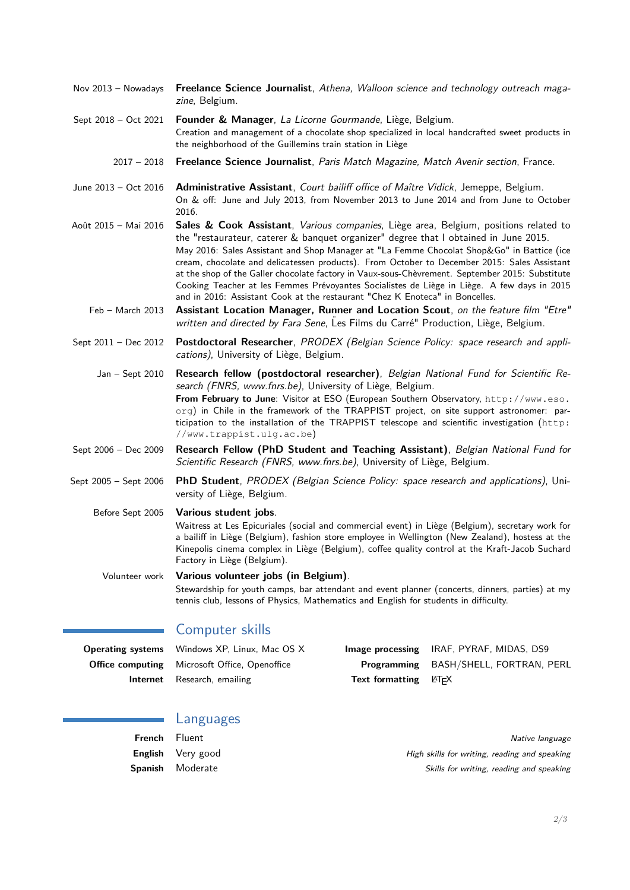- Nov 2013 Nowadays **Freelance Science Journalist**, Athena, Walloon science and technology outreach magazine, Belgium.
- Sept 2018 Oct 2021 **Founder & Manager**, La Licorne Gourmande, Liège, Belgium. Creation and management of a chocolate shop specialized in local handcrafted sweet products in the neighborhood of the Guillemins train station in Liège
	- 2017 2018 **Freelance Science Journalist**, Paris Match Magazine, Match Avenir section, France.
- June 2013 Oct 2016 **Administrative Assistant**, Court bailiff office of Maître Vidick, Jemeppe, Belgium. On & off: June and July 2013, from November 2013 to June 2014 and from June to October 2016.
- Août 2015 Mai 2016 **Sales & Cook Assistant**, Various companies, Liège area, Belgium, positions related to the "restaurateur, caterer & banquet organizer" degree that I obtained in June 2015. May 2016: Sales Assistant and Shop Manager at "La Femme Chocolat Shop&Go" in Battice (ice cream, chocolate and delicatessen products). From October to December 2015: Sales Assistant at the shop of the Galler chocolate factory in Vaux-sous-Chèvrement. September 2015: Substitute Cooking Teacher at les Femmes Prévoyantes Socialistes de Liège in Liège. A few days in 2015 and in 2016: Assistant Cook at the restaurant "Chez K Enoteca" in Boncelles.
	- Feb March 2013 **Assistant Location Manager, Runner and Location Scout**, on the feature film "Etre" written and directed by Fara Sene, Les Films du Carré" Production, Liège, Belgium.
- Sept 2011 Dec 2012 **Postdoctoral Researcher**, PRODEX (Belgian Science Policy: space research and applications), University of Liège, Belgium.
	- Jan Sept 2010 **Research fellow (postdoctoral researcher)**, Belgian National Fund for Scientific Research (FNRS, www.fnrs.be), University of Liège, Belgium. **From February to June**: Visitor at ESO (European Southern Observatory, [http://www.eso.](http://www.eso.org) [org](http://www.eso.org)) in Chile in the framework of the TRAPPIST project, on site support astronomer: participation to the installation of the TRAPPIST telescope and scientific investigation ([http:](http://www.trappist.ulg.ac.be) [//www.trappist.ulg.ac.be](http://www.trappist.ulg.ac.be))
- Sept 2006 Dec 2009 **Research Fellow (PhD Student and Teaching Assistant)**, Belgian National Fund for Scientific Research (FNRS, www.fnrs.be), University of Liège, Belgium.
- Sept 2005 Sept 2006 **PhD Student**, PRODEX (Belgian Science Policy: space research and applications), University of Liège, Belgium.

Before Sept 2005 **Various student jobs**.

Waitress at Les Epicuriales (social and commercial event) in Liège (Belgium), secretary work for a bailiff in Liège (Belgium), fashion store employee in Wellington (New Zealand), hostess at the Kinepolis cinema complex in Liège (Belgium), coffee quality control at the Kraft-Jacob Suchard Factory in Liège (Belgium).

Volunteer work **Various volunteer jobs (in Belgium)**. Stewardship for youth camps, bar attendant and event planner (concerts, dinners, parties) at my tennis club, lessons of Physics, Mathematics and English for students in difficulty.

# Computer skills

| <b>Operating systems</b> Windows XP, Linux, Mac OS X |                                                   | <b>Image processing IRAF, PYRAF, MIDAS, DS9</b> |
|------------------------------------------------------|---------------------------------------------------|-------------------------------------------------|
| <b>Office computing</b> Microsoft Office, Openoffice |                                                   | Programming BASH/SHELL, FORTRAN, PERL           |
| <b>Internet</b> Research, emailing                   | <b>Text formatting</b> $\angle$ ET <sub>F</sub> X |                                                 |

#### Languages

| French         | Fluent    |
|----------------|-----------|
| English        | Very good |
| <b>Spanish</b> | Moderate  |

**Native language** High skills for writing, reading and speaking Skills for writing, reading and speaking